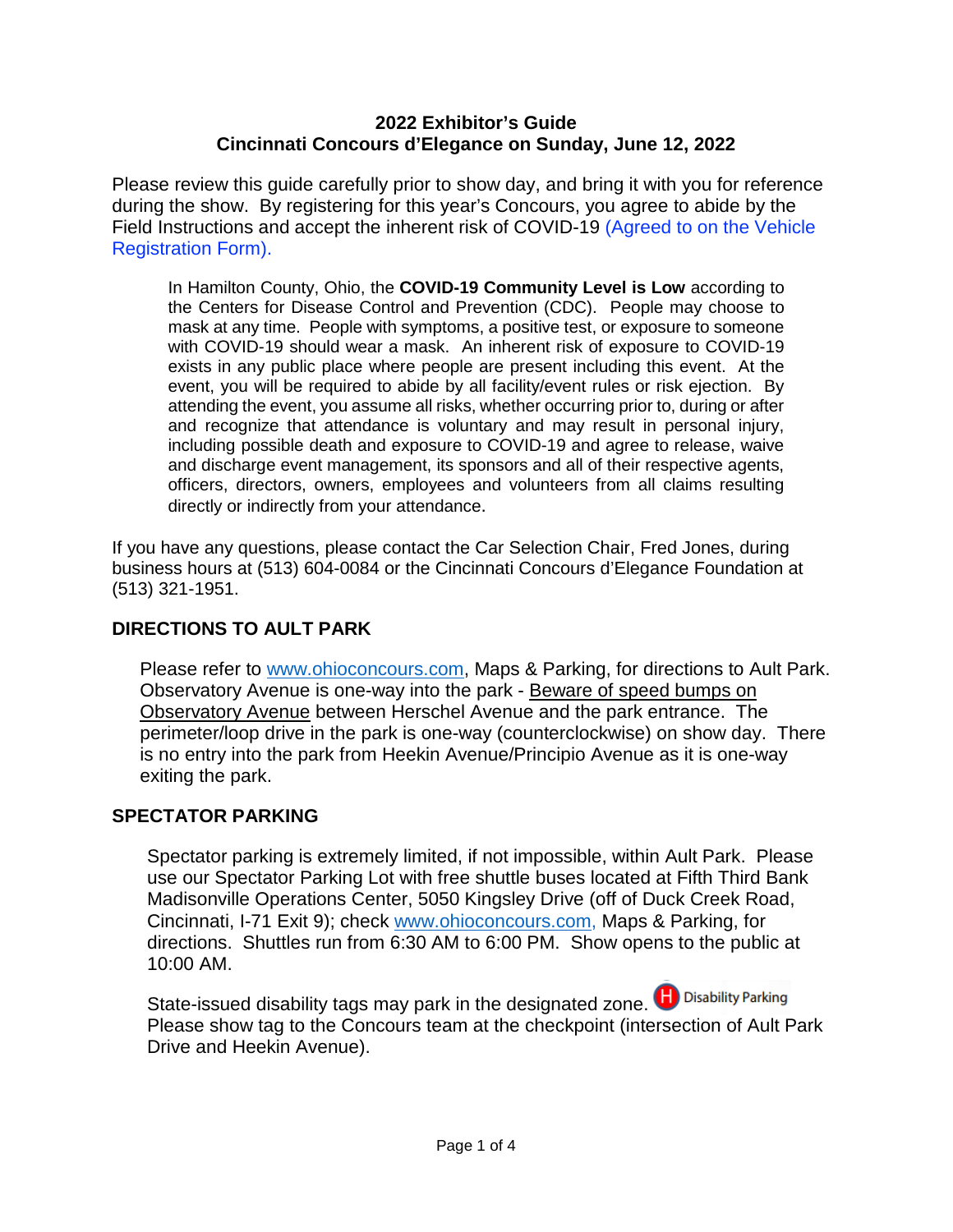#### **2022 Exhibitor's Guide Cincinnati Concours d'Elegance on Sunday, June 12, 2022**

Please review this guide carefully prior to show day, and bring it with you for reference during the show. By registering for this year's Concours, you agree to abide by the Field Instructions and accept the inherent risk of COVID-19 (Agreed to on the Vehicle Registration Form).

In Hamilton County, Ohio, the **COVID-19 Community Level is Low** according to the Centers for Disease Control and Prevention (CDC). People may choose to mask at any time. People with symptoms, a positive test, or exposure to someone with COVID-19 should wear a mask. An inherent risk of exposure to COVID-19 exists in any public place where people are present including this event. At the event, you will be required to abide by all facility/event rules or risk ejection. By attending the event, you assume all risks, whether occurring prior to, during or after and recognize that attendance is voluntary and may result in personal injury, including possible death and exposure to COVID-19 and agree to release, waive and discharge event management, its sponsors and all of their respective agents, officers, directors, owners, employees and volunteers from all claims resulting directly or indirectly from your attendance.

If you have any questions, please contact the Car Selection Chair, Fred Jones, during business hours at (513) 604-0084 or the Cincinnati Concours d'Elegance Foundation at (513) 321-1951.

# **DIRECTIONS TO AULT PARK**

Please refer to [www.ohioconcours.com,](http://www.ohioconcours.com/) Maps & Parking, for directions to Ault Park. Observatory Avenue is one-way into the park - Beware of speed bumps on Observatory Avenue between Herschel Avenue and the park entrance. The perimeter/loop drive in the park is one-way (counterclockwise) on show day. There is no entry into the park from Heekin Avenue/Principio Avenue as it is one-way exiting the park.

# **SPECTATOR PARKING**

Spectator parking is extremely limited, if not impossible, within Ault Park. Please use our Spectator Parking Lot with free shuttle buses located at Fifth Third Bank Madisonville Operations Center, 5050 Kingsley Drive (off of Duck Creek Road, Cincinnati, I-71 Exit 9); check [www.ohioconcours.com,](http://www.ohioconcours.com/) Maps & Parking, for directions. Shuttles run from 6:30 AM to 6:00 PM. Show opens to the public at 10:00 AM.

State-issued disability tags may park in the designated zone. **H** Disability Parking Please show tag to the Concours team at the checkpoint (intersection of Ault Park Drive and Heekin Avenue).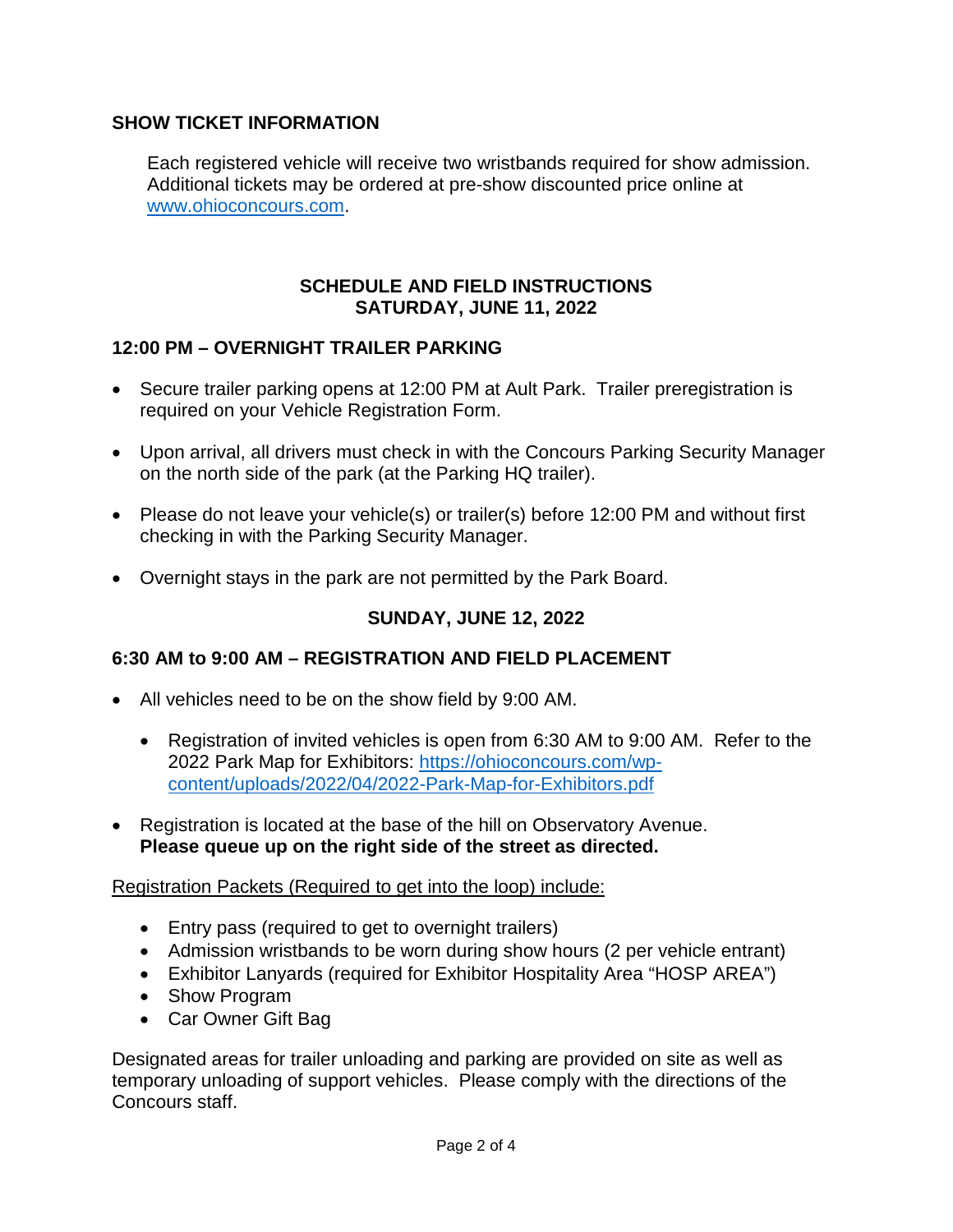# **SHOW TICKET INFORMATION**

Each registered vehicle will receive two wristbands required for show admission. Additional tickets may be ordered at pre-show discounted price online at [www.ohioconcours.com.](http://www.ohioconcours.com/)

### **SCHEDULE AND FIELD INSTRUCTIONS SATURDAY, JUNE 11, 2022**

# **12:00 PM – OVERNIGHT TRAILER PARKING**

- Secure trailer parking opens at 12:00 PM at Ault Park. Trailer preregistration is required on your Vehicle Registration Form.
- Upon arrival, all drivers must check in with the Concours Parking Security Manager on the north side of the park (at the Parking HQ trailer).
- Please do not leave your vehicle(s) or trailer(s) before 12:00 PM and without first checking in with the Parking Security Manager.
- Overnight stays in the park are not permitted by the Park Board.

# **SUNDAY, JUNE 12, 2022**

# **6:30 AM to 9:00 AM – REGISTRATION AND FIELD PLACEMENT**

- All vehicles need to be on the show field by 9:00 AM.
	- Registration of invited vehicles is open from 6:30 AM to 9:00 AM. Refer to the 2022 Park Map for Exhibitors: [https://ohioconcours.com/wp](https://ohioconcours.com/wp-content/uploads/2022/04/2022-Park-Map-for-Exhibitors.pdf)[content/uploads/2022/04/2022-Park-Map-for-Exhibitors.pdf](https://ohioconcours.com/wp-content/uploads/2022/04/2022-Park-Map-for-Exhibitors.pdf)
- Registration is located at the base of the hill on Observatory Avenue. **Please queue up on the right side of the street as directed.**

Registration Packets (Required to get into the loop) include:

- Entry pass (required to get to overnight trailers)
- Admission wristbands to be worn during show hours (2 per vehicle entrant)
- Exhibitor Lanyards (required for Exhibitor Hospitality Area "HOSP AREA")
- Show Program
- Car Owner Gift Bag

Designated areas for trailer unloading and parking are provided on site as well as temporary unloading of support vehicles. Please comply with the directions of the Concours staff.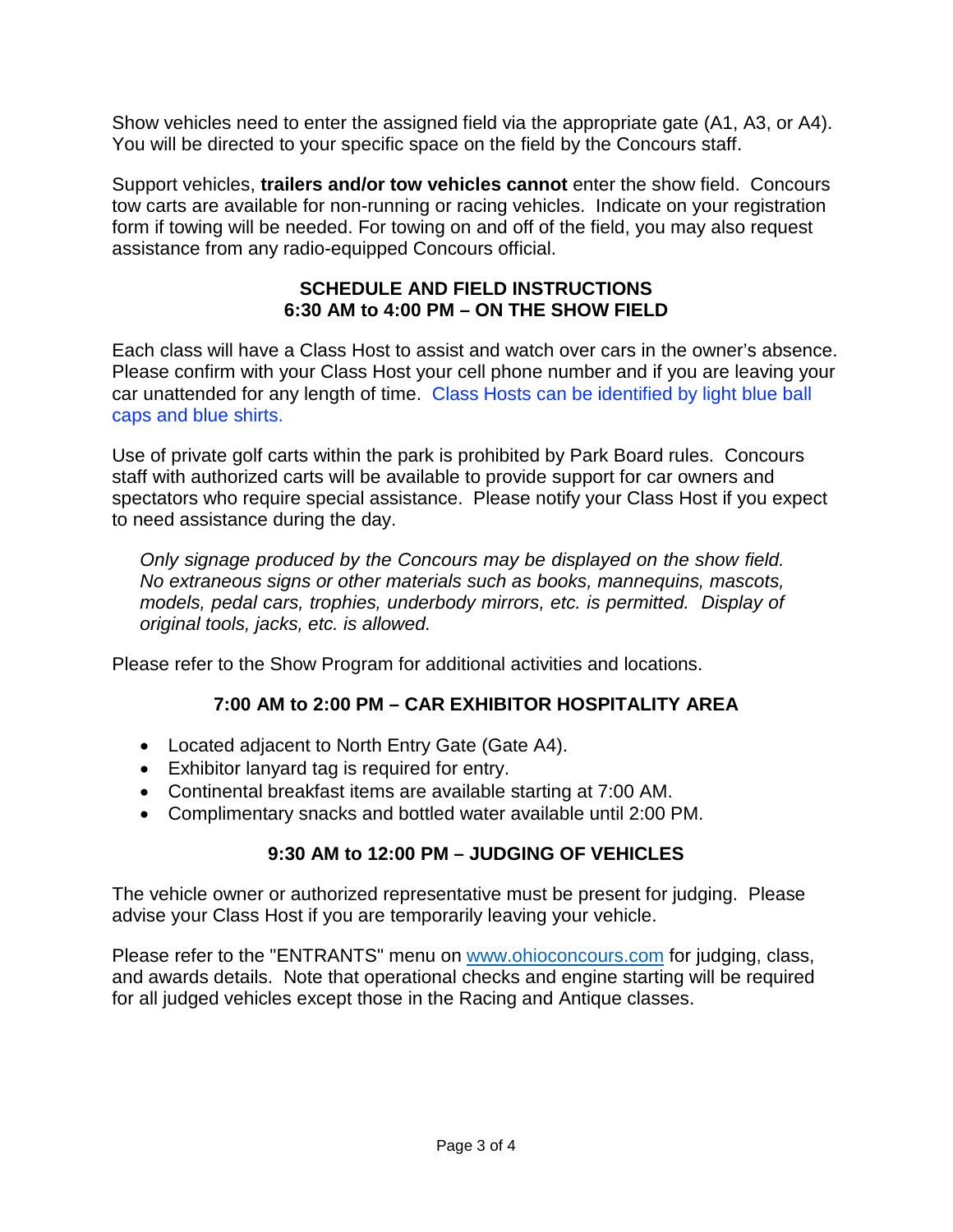Show vehicles need to enter the assigned field via the appropriate gate (A1, A3, or A4). You will be directed to your specific space on the field by the Concours staff.

Support vehicles, **trailers and/or tow vehicles cannot** enter the show field. Concours tow carts are available for non-running or racing vehicles. Indicate on your registration form if towing will be needed. For towing on and off of the field, you may also request assistance from any radio-equipped Concours official.

## **SCHEDULE AND FIELD INSTRUCTIONS 6:30 AM to 4:00 PM – ON THE SHOW FIELD**

Each class will have a Class Host to assist and watch over cars in the owner's absence. Please confirm with your Class Host your cell phone number and if you are leaving your car unattended for any length of time. Class Hosts can be identified by light blue ball caps and blue shirts.

Use of private golf carts within the park is prohibited by Park Board rules. Concours staff with authorized carts will be available to provide support for car owners and spectators who require special assistance. Please notify your Class Host if you expect to need assistance during the day.

*Only signage produced by the Concours may be displayed on the show field. No extraneous signs or other materials such as books, mannequins, mascots, models, pedal cars, trophies, underbody mirrors, etc. is permitted. Display of original tools, jacks, etc. is allowed.*

Please refer to the Show Program for additional activities and locations.

# **7:00 AM to 2:00 PM – CAR EXHIBITOR HOSPITALITY AREA**

- Located adjacent to North Entry Gate (Gate A4).
- Exhibitor lanyard tag is required for entry.
- Continental breakfast items are available starting at 7:00 AM.
- Complimentary snacks and bottled water available until 2:00 PM.

# **9:30 AM to 12:00 PM – JUDGING OF VEHICLES**

The vehicle owner or authorized representative must be present for judging. Please advise your Class Host if you are temporarily leaving your vehicle.

Please refer to the "ENTRANTS" menu on [www.ohioconcours.com](http://www.ohioconcours.com/) for judging, class, and awards details. Note that operational checks and engine starting will be required for all judged vehicles except those in the Racing and Antique classes.